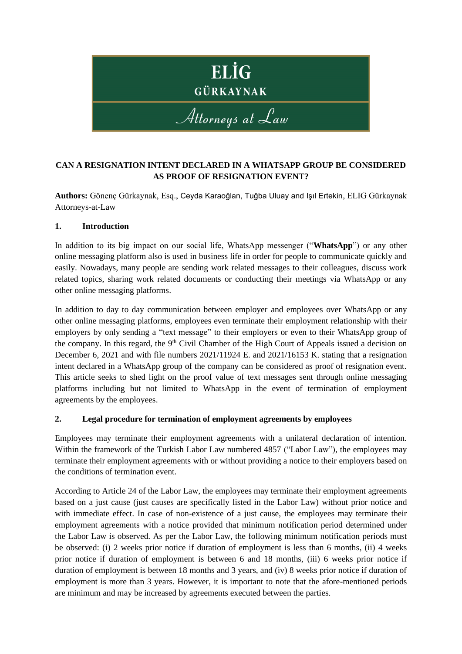

## **CAN A RESIGNATION INTENT DECLARED IN A WHATSAPP GROUP BE CONSIDERED AS PROOF OF RESIGNATION EVENT?**

**Authors:** Gönenç Gürkaynak, Esq., Ceyda Karaoğlan, Tuğba Uluay and Işıl Ertekin, ELIG Gürkaynak Attorneys-at-Law

### **1. Introduction**

In addition to its big impact on our social life, WhatsApp messenger ("**WhatsApp**") or any other online messaging platform also is used in business life in order for people to communicate quickly and easily. Nowadays, many people are sending work related messages to their colleagues, discuss work related topics, sharing work related documents or conducting their meetings via WhatsApp or any other online messaging platforms.

In addition to day to day communication between employer and employees over WhatsApp or any other online messaging platforms, employees even terminate their employment relationship with their employers by only sending a "text message" to their employers or even to their WhatsApp group of the company. In this regard, the 9<sup>th</sup> Civil Chamber of the High Court of Appeals issued a decision on December 6, 2021 and with file numbers 2021/11924 E. and 2021/16153 K. stating that a resignation intent declared in a WhatsApp group of the company can be considered as proof of resignation event. This article seeks to shed light on the proof value of text messages sent through online messaging platforms including but not limited to WhatsApp in the event of termination of employment agreements by the employees.

## **2. Legal procedure for termination of employment agreements by employees**

Employees may terminate their employment agreements with a unilateral declaration of intention. Within the framework of the Turkish Labor Law numbered 4857 ("Labor Law"), the employees may terminate their employment agreements with or without providing a notice to their employers based on the conditions of termination event.

According to Article 24 of the Labor Law, the employees may terminate their employment agreements based on a just cause (just causes are specifically listed in the Labor Law) without prior notice and with immediate effect. In case of non-existence of a just cause, the employees may terminate their employment agreements with a notice provided that minimum notification period determined under the Labor Law is observed. As per the Labor Law, the following minimum notification periods must be observed: (i) 2 weeks prior notice if duration of employment is less than 6 months, (ii) 4 weeks prior notice if duration of employment is between 6 and 18 months, (iii) 6 weeks prior notice if duration of employment is between 18 months and 3 years, and (iv) 8 weeks prior notice if duration of employment is more than 3 years. However, it is important to note that the afore-mentioned periods are minimum and may be increased by agreements executed between the parties.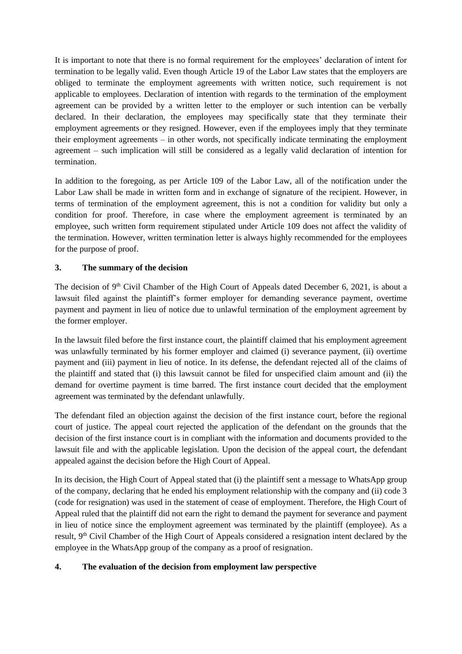It is important to note that there is no formal requirement for the employees' declaration of intent for termination to be legally valid. Even though Article 19 of the Labor Law states that the employers are obliged to terminate the employment agreements with written notice, such requirement is not applicable to employees. Declaration of intention with regards to the termination of the employment agreement can be provided by a written letter to the employer or such intention can be verbally declared. In their declaration, the employees may specifically state that they terminate their employment agreements or they resigned. However, even if the employees imply that they terminate their employment agreements – in other words, not specifically indicate terminating the employment agreement – such implication will still be considered as a legally valid declaration of intention for termination.

In addition to the foregoing, as per Article 109 of the Labor Law, all of the notification under the Labor Law shall be made in written form and in exchange of signature of the recipient. However, in terms of termination of the employment agreement, this is not a condition for validity but only a condition for proof. Therefore, in case where the employment agreement is terminated by an employee, such written form requirement stipulated under Article 109 does not affect the validity of the termination. However, written termination letter is always highly recommended for the employees for the purpose of proof.

# **3. The summary of the decision**

The decision of  $9<sup>th</sup>$  Civil Chamber of the High Court of Appeals dated December 6, 2021, is about a lawsuit filed against the plaintiff's former employer for demanding severance payment, overtime payment and payment in lieu of notice due to unlawful termination of the employment agreement by the former employer.

In the lawsuit filed before the first instance court, the plaintiff claimed that his employment agreement was unlawfully terminated by his former employer and claimed (i) severance payment, (ii) overtime payment and (iii) payment in lieu of notice. In its defense, the defendant rejected all of the claims of the plaintiff and stated that (i) this lawsuit cannot be filed for unspecified claim amount and (ii) the demand for overtime payment is time barred. The first instance court decided that the employment agreement was terminated by the defendant unlawfully.

The defendant filed an objection against the decision of the first instance court, before the regional court of justice. The appeal court rejected the application of the defendant on the grounds that the decision of the first instance court is in compliant with the information and documents provided to the lawsuit file and with the applicable legislation. Upon the decision of the appeal court, the defendant appealed against the decision before the High Court of Appeal.

In its decision, the High Court of Appeal stated that (i) the plaintiff sent a message to WhatsApp group of the company, declaring that he ended his employment relationship with the company and (ii) code 3 (code for resignation) was used in the statement of cease of employment. Therefore, the High Court of Appeal ruled that the plaintiff did not earn the right to demand the payment for severance and payment in lieu of notice since the employment agreement was terminated by the plaintiff (employee). As a result, 9<sup>th</sup> Civil Chamber of the High Court of Appeals considered a resignation intent declared by the employee in the WhatsApp group of the company as a proof of resignation.

## **4. The evaluation of the decision from employment law perspective**